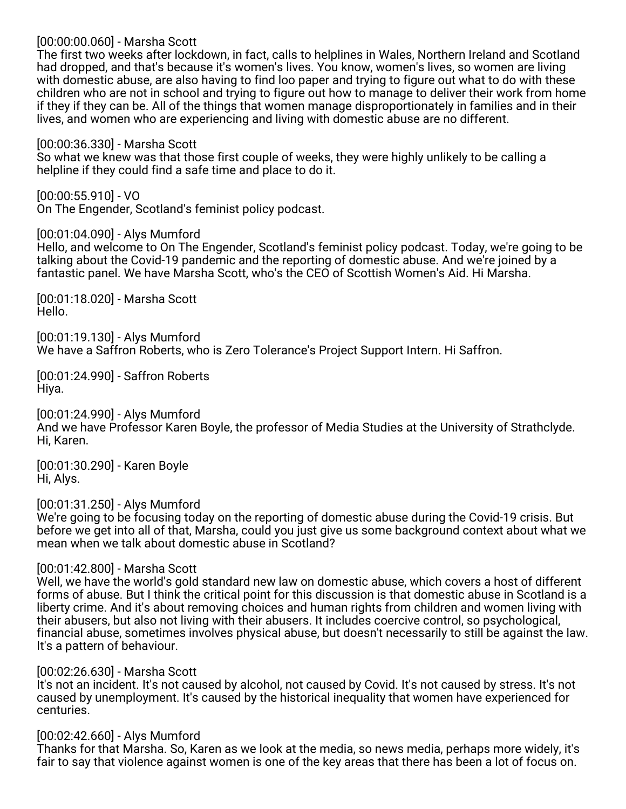[00:00:00.060] - Marsha Scott

The first two weeks after lockdown, in fact, calls to helplines in Wales, Northern Ireland and Scotland had dropped, and that's because it's women's lives. You know, women's lives, so women are living with domestic abuse, are also having to find loo paper and trying to figure out what to do with these children who are not in school and trying to figure out how to manage to deliver their work from home if they if they can be. All of the things that women manage disproportionately in families and in their lives, and women who are experiencing and living with domestic abuse are no different.

[00:00:36.330] - Marsha Scott

So what we knew was that those first couple of weeks, they were highly unlikely to be calling a helpline if they could find a safe time and place to do it.

[00:00:55.910] - VO On The Engender, Scotland's feminist policy podcast.

[00:01:04.090] - Alys Mumford

Hello, and welcome to On The Engender, Scotland's feminist policy podcast. Today, we're going to be talking about the Covid-19 pandemic and the reporting of domestic abuse. And we're joined by a fantastic panel. We have Marsha Scott, who's the CEO of Scottish Women's Aid. Hi Marsha.

[00:01:18.020] - Marsha Scott Hello.

[00:01:19.130] - Alys Mumford We have a Saffron Roberts, who is Zero Tolerance's Project Support Intern. Hi Saffron.

[00:01:24.990] - Saffron Roberts Hiya.

[00:01:24.990] - Alys Mumford And we have Professor Karen Boyle, the professor of Media Studies at the University of Strathclyde. Hi, Karen.

[00:01:30.290] - Karen Boyle Hi, Alys.

[00:01:31.250] - Alys Mumford

We're going to be focusing today on the reporting of domestic abuse during the Covid-19 crisis. But before we get into all of that, Marsha, could you just give us some background context about what we mean when we talk about domestic abuse in Scotland?

[00:01:42.800] - Marsha Scott

Well, we have the world's gold standard new law on domestic abuse, which covers a host of different forms of abuse. But I think the critical point for this discussion is that domestic abuse in Scotland is a liberty crime. And it's about removing choices and human rights from children and women living with their abusers, but also not living with their abusers. It includes coercive control, so psychological, financial abuse, sometimes involves physical abuse, but doesn't necessarily to still be against the law. It's a pattern of behaviour.

[00:02:26.630] - Marsha Scott

It's not an incident. It's not caused by alcohol, not caused by Covid. It's not caused by stress. It's not caused by unemployment. It's caused by the historical inequality that women have experienced for centuries.

## [00:02:42.660] - Alys Mumford

Thanks for that Marsha. So, Karen as we look at the media, so news media, perhaps more widely, it's fair to say that violence against women is one of the key areas that there has been a lot of focus on.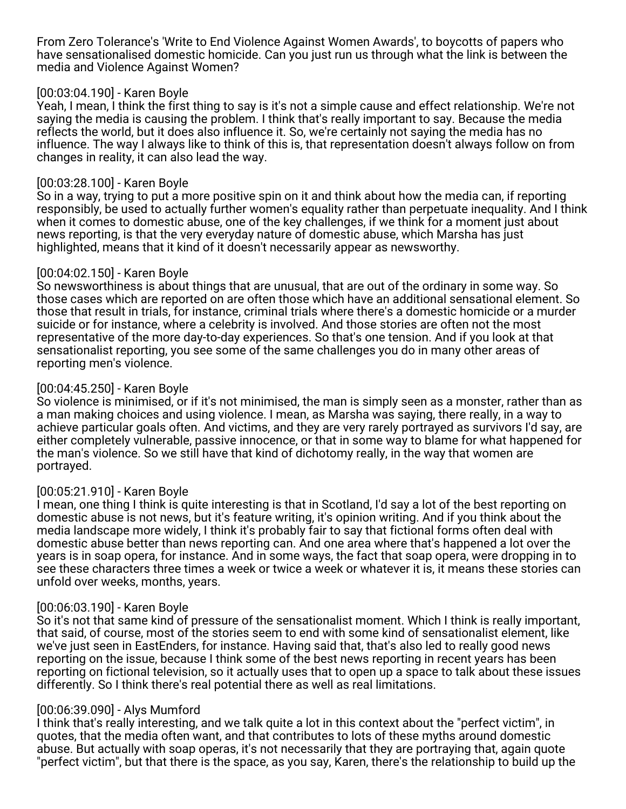From Zero Tolerance's 'Write to End Violence Against Women Awards', to boycotts of papers who have sensationalised domestic homicide. Can you just run us through what the link is between the media and Violence Against Women?

### [00:03:04.190] - Karen Boyle

Yeah, I mean, I think the first thing to say is it's not a simple cause and effect relationship. We're not saying the media is causing the problem. I think that's really important to say. Because the media reflects the world, but it does also influence it. So, we're certainly not saying the media has no influence. The way I always like to think of this is, that representation doesn't always follow on from changes in reality, it can also lead the way.

### [00:03:28.100] - Karen Boyle

So in a way, trying to put a more positive spin on it and think about how the media can, if reporting responsibly, be used to actually further women's equality rather than perpetuate inequality. And I think when it comes to domestic abuse, one of the key challenges, if we think for a moment just about news reporting, is that the very everyday nature of domestic abuse, which Marsha has just highlighted, means that it kind of it doesn't necessarily appear as newsworthy.

## [00:04:02.150] - Karen Boyle

So newsworthiness is about things that are unusual, that are out of the ordinary in some way. So those cases which are reported on are often those which have an additional sensational element. So those that result in trials, for instance, criminal trials where there's a domestic homicide or a murder suicide or for instance, where a celebrity is involved. And those stories are often not the most representative of the more day-to-day experiences. So that's one tension. And if you look at that sensationalist reporting, you see some of the same challenges you do in many other areas of reporting men's violence.

## [00:04:45.250] - Karen Boyle

So violence is minimised, or if it's not minimised, the man is simply seen as a monster, rather than as a man making choices and using violence. I mean, as Marsha was saying, there really, in a way to achieve particular goals often. And victims, and they are very rarely portrayed as survivors I'd say, are either completely vulnerable, passive innocence, or that in some way to blame for what happened for the man's violence. So we still have that kind of dichotomy really, in the way that women are portrayed.

## [00:05:21.910] - Karen Boyle

I mean, one thing I think is quite interesting is that in Scotland, I'd say a lot of the best reporting on domestic abuse is not news, but it's feature writing, it's opinion writing. And if you think about the media landscape more widely, I think it's probably fair to say that fictional forms often deal with domestic abuse better than news reporting can. And one area where that's happened a lot over the years is in soap opera, for instance. And in some ways, the fact that soap opera, were dropping in to see these characters three times a week or twice a week or whatever it is, it means these stories can unfold over weeks, months, years.

## [00:06:03.190] - Karen Boyle

So it's not that same kind of pressure of the sensationalist moment. Which I think is really important, that said, of course, most of the stories seem to end with some kind of sensationalist element, like we've just seen in EastEnders, for instance. Having said that, that's also led to really good news reporting on the issue, because I think some of the best news reporting in recent years has been reporting on fictional television, so it actually uses that to open up a space to talk about these issues differently. So I think there's real potential there as well as real limitations.

## [00:06:39.090] - Alys Mumford

I think that's really interesting, and we talk quite a lot in this context about the "perfect victim", in quotes, that the media often want, and that contributes to lots of these myths around domestic abuse. But actually with soap operas, it's not necessarily that they are portraying that, again quote "perfect victim", but that there is the space, as you say, Karen, there's the relationship to build up the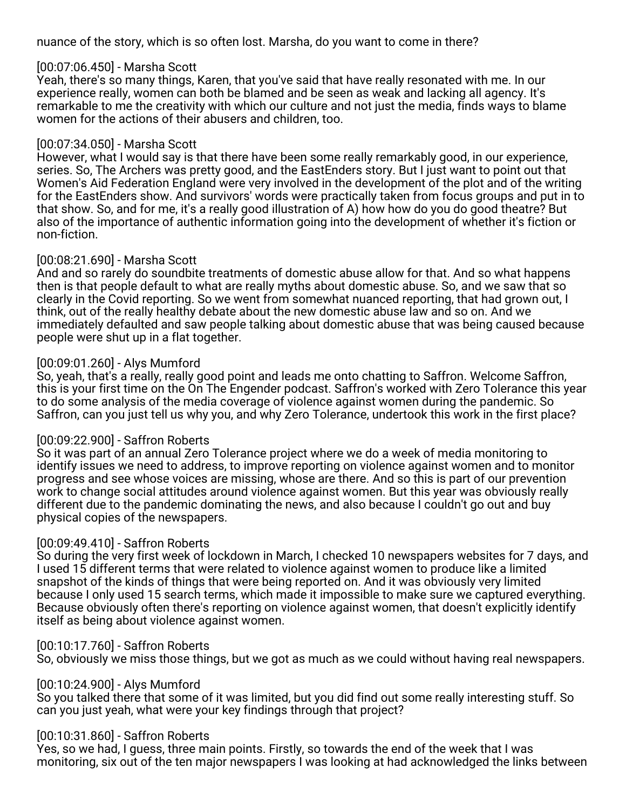nuance of the story, which is so often lost. Marsha, do you want to come in there?

### [00:07:06.450] - Marsha Scott

Yeah, there's so many things, Karen, that you've said that have really resonated with me. In our experience really, women can both be blamed and be seen as weak and lacking all agency. It's remarkable to me the creativity with which our culture and not just the media, finds ways to blame women for the actions of their abusers and children, too.

### [00:07:34.050] - Marsha Scott

However, what I would say is that there have been some really remarkably good, in our experience, series. So, The Archers was pretty good, and the EastEnders story. But I just want to point out that Women's Aid Federation England were very involved in the development of the plot and of the writing for the EastEnders show. And survivors' words were practically taken from focus groups and put in to that show. So, and for me, it's a really good illustration of A) how how do you do good theatre? But also of the importance of authentic information going into the development of whether it's fiction or non-fiction.

## [00:08:21.690] - Marsha Scott

And and so rarely do soundbite treatments of domestic abuse allow for that. And so what happens then is that people default to what are really myths about domestic abuse. So, and we saw that so clearly in the Covid reporting. So we went from somewhat nuanced reporting, that had grown out, I think, out of the really healthy debate about the new domestic abuse law and so on. And we immediately defaulted and saw people talking about domestic abuse that was being caused because people were shut up in a flat together.

## [00:09:01.260] - Alys Mumford

So, yeah, that's a really, really good point and leads me onto chatting to Saffron. Welcome Saffron, this is your first time on the On The Engender podcast. Saffron's worked with Zero Tolerance this year to do some analysis of the media coverage of violence against women during the pandemic. So Saffron, can you just tell us why you, and why Zero Tolerance, undertook this work in the first place?

## [00:09:22.900] - Saffron Roberts

So it was part of an annual Zero Tolerance project where we do a week of media monitoring to identify issues we need to address, to improve reporting on violence against women and to monitor progress and see whose voices are missing, whose are there. And so this is part of our prevention work to change social attitudes around violence against women. But this year was obviously really different due to the pandemic dominating the news, and also because I couldn't go out and buy physical copies of the newspapers.

## [00:09:49.410] - Saffron Roberts

So during the very first week of lockdown in March, I checked 10 newspapers websites for 7 days, and I used 15 different terms that were related to violence against women to produce like a limited snapshot of the kinds of things that were being reported on. And it was obviously very limited because I only used 15 search terms, which made it impossible to make sure we captured everything. Because obviously often there's reporting on violence against women, that doesn't explicitly identify itself as being about violence against women.

## [00:10:17.760] - Saffron Roberts

So, obviously we miss those things, but we got as much as we could without having real newspapers.

## [00:10:24.900] - Alys Mumford

So you talked there that some of it was limited, but you did find out some really interesting stuff. So can you just yeah, what were your key findings through that project?

## [00:10:31.860] - Saffron Roberts

Yes, so we had, I guess, three main points. Firstly, so towards the end of the week that I was monitoring, six out of the ten major newspapers I was looking at had acknowledged the links between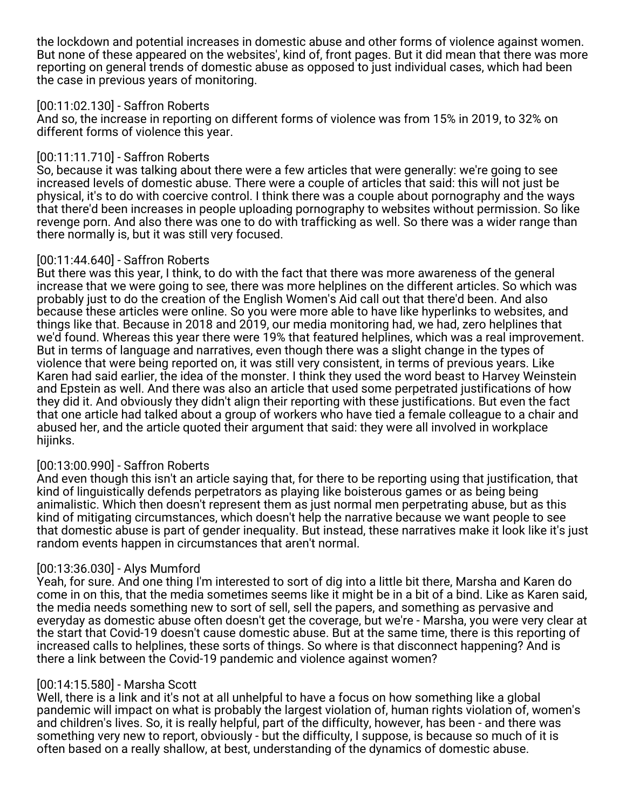the lockdown and potential increases in domestic abuse and other forms of violence against women. But none of these appeared on the websites', kind of, front pages. But it did mean that there was more reporting on general trends of domestic abuse as opposed to just individual cases, which had been the case in previous years of monitoring.

## [00:11:02.130] - Saffron Roberts

And so, the increase in reporting on different forms of violence was from 15% in 2019, to 32% on different forms of violence this year.

# [00:11:11.710] - Saffron Roberts

So, because it was talking about there were a few articles that were generally: we're going to see increased levels of domestic abuse. There were a couple of articles that said: this will not just be physical, it's to do with coercive control. I think there was a couple about pornography and the ways that there'd been increases in people uploading pornography to websites without permission. So like revenge porn. And also there was one to do with trafficking as well. So there was a wider range than there normally is, but it was still very focused.

## [00:11:44.640] - Saffron Roberts

But there was this year, I think, to do with the fact that there was more awareness of the general increase that we were going to see, there was more helplines on the different articles. So which was probably just to do the creation of the English Women's Aid call out that there'd been. And also because these articles were online. So you were more able to have like hyperlinks to websites, and things like that. Because in 2018 and 2019, our media monitoring had, we had, zero helplines that we'd found. Whereas this year there were 19% that featured helplines, which was a real improvement. But in terms of language and narratives, even though there was a slight change in the types of violence that were being reported on, it was still very consistent, in terms of previous years. Like Karen had said earlier, the idea of the monster. I think they used the word beast to Harvey Weinstein and Epstein as well. And there was also an article that used some perpetrated justifications of how they did it. And obviously they didn't align their reporting with these justifications. But even the fact that one article had talked about a group of workers who have tied a female colleague to a chair and abused her, and the article quoted their argument that said: they were all involved in workplace hijinks.

## [00:13:00.990] - Saffron Roberts

And even though this isn't an article saying that, for there to be reporting using that justification, that kind of linguistically defends perpetrators as playing like boisterous games or as being being animalistic. Which then doesn't represent them as just normal men perpetrating abuse, but as this kind of mitigating circumstances, which doesn't help the narrative because we want people to see that domestic abuse is part of gender inequality. But instead, these narratives make it look like it's just random events happen in circumstances that aren't normal.

## [00:13:36.030] - Alys Mumford

Yeah, for sure. And one thing I'm interested to sort of dig into a little bit there, Marsha and Karen do come in on this, that the media sometimes seems like it might be in a bit of a bind. Like as Karen said, the media needs something new to sort of sell, sell the papers, and something as pervasive and everyday as domestic abuse often doesn't get the coverage, but we're - Marsha, you were very clear at the start that Covid-19 doesn't cause domestic abuse. But at the same time, there is this reporting of increased calls to helplines, these sorts of things. So where is that disconnect happening? And is there a link between the Covid-19 pandemic and violence against women?

## [00:14:15.580] - Marsha Scott

Well, there is a link and it's not at all unhelpful to have a focus on how something like a global pandemic will impact on what is probably the largest violation of, human rights violation of, women's and children's lives. So, it is really helpful, part of the difficulty, however, has been - and there was something very new to report, obviously - but the difficulty, I suppose, is because so much of it is often based on a really shallow, at best, understanding of the dynamics of domestic abuse.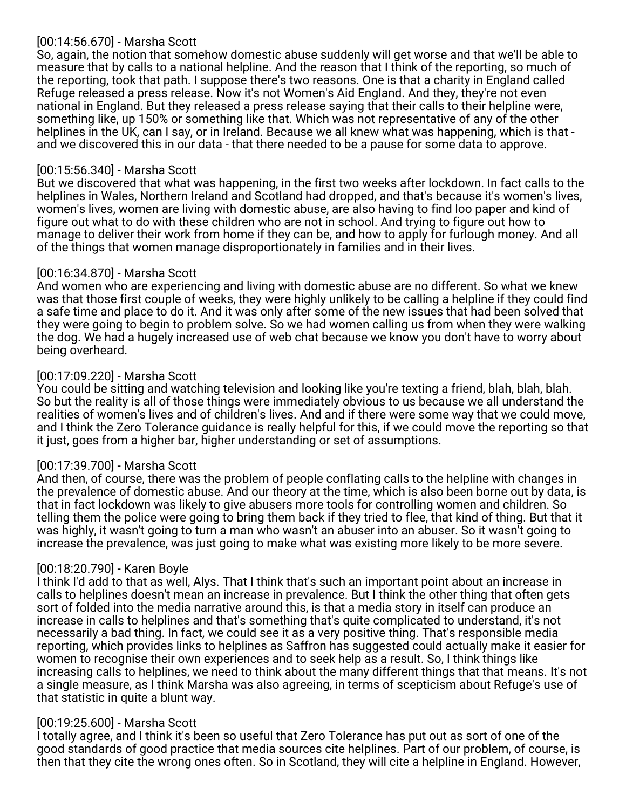## [00:14:56.670] - Marsha Scott

So, again, the notion that somehow domestic abuse suddenly will get worse and that we'll be able to measure that by calls to a national helpline. And the reason that I think of the reporting, so much of the reporting, took that path. I suppose there's two reasons. One is that a charity in England called Refuge released a press release. Now it's not Women's Aid England. And they, they're not even national in England. But they released a press release saying that their calls to their helpline were, something like, up 150% or something like that. Which was not representative of any of the other helplines in the UK, can I say, or in Ireland. Because we all knew what was happening, which is that and we discovered this in our data - that there needed to be a pause for some data to approve.

### [00:15:56.340] - Marsha Scott

But we discovered that what was happening, in the first two weeks after lockdown. In fact calls to the helplines in Wales, Northern Ireland and Scotland had dropped, and that's because it's women's lives, women's lives, women are living with domestic abuse, are also having to find loo paper and kind of figure out what to do with these children who are not in school. And trying to figure out how to manage to deliver their work from home if they can be, and how to apply for furlough money. And all of the things that women manage disproportionately in families and in their lives.

## [00:16:34.870] - Marsha Scott

And women who are experiencing and living with domestic abuse are no different. So what we knew was that those first couple of weeks, they were highly unlikely to be calling a helpline if they could find a safe time and place to do it. And it was only after some of the new issues that had been solved that they were going to begin to problem solve. So we had women calling us from when they were walking the dog. We had a hugely increased use of web chat because we know you don't have to worry about being overheard.

## [00:17:09.220] - Marsha Scott

You could be sitting and watching television and looking like you're texting a friend, blah, blah, blah. So but the reality is all of those things were immediately obvious to us because we all understand the realities of women's lives and of children's lives. And and if there were some way that we could move, and I think the Zero Tolerance guidance is really helpful for this, if we could move the reporting so that it just, goes from a higher bar, higher understanding or set of assumptions.

## [00:17:39.700] - Marsha Scott

And then, of course, there was the problem of people conflating calls to the helpline with changes in the prevalence of domestic abuse. And our theory at the time, which is also been borne out by data, is that in fact lockdown was likely to give abusers more tools for controlling women and children. So telling them the police were going to bring them back if they tried to flee, that kind of thing. But that it was highly, it wasn't going to turn a man who wasn't an abuser into an abuser. So it wasn't going to increase the prevalence, was just going to make what was existing more likely to be more severe.

## [00:18:20.790] - Karen Boyle

I think I'd add to that as well, Alys. That I think that's such an important point about an increase in calls to helplines doesn't mean an increase in prevalence. But I think the other thing that often gets sort of folded into the media narrative around this, is that a media story in itself can produce an increase in calls to helplines and that's something that's quite complicated to understand, it's not necessarily a bad thing. In fact, we could see it as a very positive thing. That's responsible media reporting, which provides links to helplines as Saffron has suggested could actually make it easier for women to recognise their own experiences and to seek help as a result. So, I think things like increasing calls to helplines, we need to think about the many different things that that means. It's not a single measure, as I think Marsha was also agreeing, in terms of scepticism about Refuge's use of that statistic in quite a blunt way.

## [00:19:25.600] - Marsha Scott

I totally agree, and I think it's been so useful that Zero Tolerance has put out as sort of one of the good standards of good practice that media sources cite helplines. Part of our problem, of course, is then that they cite the wrong ones often. So in Scotland, they will cite a helpline in England. However,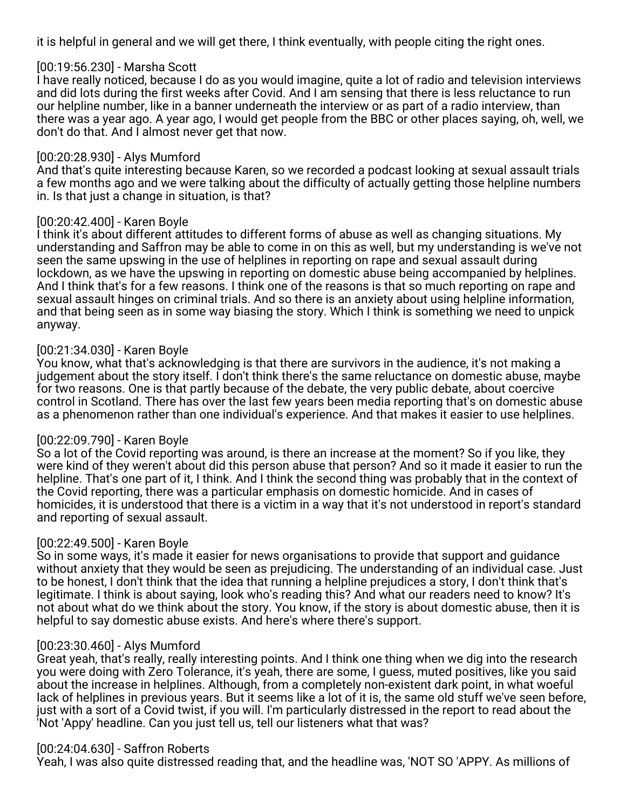it is helpful in general and we will get there, I think eventually, with people citing the right ones.

### [00:19:56.230] - Marsha Scott

I have really noticed, because I do as you would imagine, quite a lot of radio and television interviews and did lots during the first weeks after Covid. And I am sensing that there is less reluctance to run our helpline number, like in a banner underneath the interview or as part of a radio interview, than there was a year ago. A year ago, I would get people from the BBC or other places saying, oh, well, we don't do that. And I almost never get that now.

### [00:20:28.930] - Alys Mumford

And that's quite interesting because Karen, so we recorded a podcast looking at sexual assault trials a few months ago and we were talking about the difficulty of actually getting those helpline numbers in. Is that just a change in situation, is that?

### [00:20:42.400] - Karen Boyle

I think it's about different attitudes to different forms of abuse as well as changing situations. My understanding and Saffron may be able to come in on this as well, but my understanding is we've not seen the same upswing in the use of helplines in reporting on rape and sexual assault during lockdown, as we have the upswing in reporting on domestic abuse being accompanied by helplines. And I think that's for a few reasons. I think one of the reasons is that so much reporting on rape and sexual assault hinges on criminal trials. And so there is an anxiety about using helpline information, and that being seen as in some way biasing the story. Which I think is something we need to unpick anyway.

### [00:21:34.030] - Karen Boyle

You know, what that's acknowledging is that there are survivors in the audience, it's not making a judgement about the story itself. I don't think there's the same reluctance on domestic abuse, maybe for two reasons. One is that partly because of the debate, the very public debate, about coercive control in Scotland. There has over the last few years been media reporting that's on domestic abuse as a phenomenon rather than one individual's experience. And that makes it easier to use helplines.

#### [00:22:09.790] - Karen Boyle

So a lot of the Covid reporting was around, is there an increase at the moment? So if you like, they were kind of they weren't about did this person abuse that person? And so it made it easier to run the helpline. That's one part of it, I think. And I think the second thing was probably that in the context of the Covid reporting, there was a particular emphasis on domestic homicide. And in cases of homicides, it is understood that there is a victim in a way that it's not understood in report's standard and reporting of sexual assault.

## [00:22:49.500] - Karen Boyle

So in some ways, it's made it easier for news organisations to provide that support and guidance without anxiety that they would be seen as prejudicing. The understanding of an individual case. Just to be honest, I don't think that the idea that running a helpline prejudices a story, I don't think that's legitimate. I think is about saying, look who's reading this? And what our readers need to know? It's not about what do we think about the story. You know, if the story is about domestic abuse, then it is helpful to say domestic abuse exists. And here's where there's support.

#### [00:23:30.460] - Alys Mumford

Great yeah, that's really, really interesting points. And I think one thing when we dig into the research you were doing with Zero Tolerance, it's yeah, there are some, I guess, muted positives, like you said about the increase in helplines. Although, from a completely non-existent dark point, in what woeful lack of helplines in previous years. But it seems like a lot of it is, the same old stuff we've seen before, just with a sort of a Covid twist, if you will. I'm particularly distressed in the report to read about the 'Not 'Appy' headline. Can you just tell us, tell our listeners what that was?

#### [00:24:04.630] - Saffron Roberts

Yeah, I was also quite distressed reading that, and the headline was, 'NOT SO 'APPY. As millions of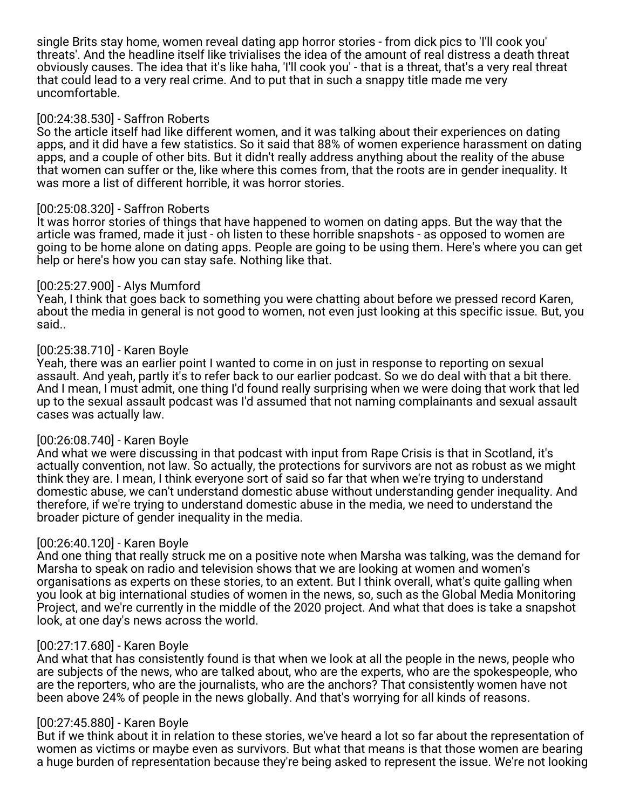single Brits stay home, women reveal dating app horror stories - from dick pics to 'I'll cook you' threats'. And the headline itself like trivialises the idea of the amount of real distress a death threat obviously causes. The idea that it's like haha, 'I'll cook you' - that is a threat, that's a very real threat that could lead to a very real crime. And to put that in such a snappy title made me very uncomfortable.

### [00:24:38.530] - Saffron Roberts

So the article itself had like different women, and it was talking about their experiences on dating apps, and it did have a few statistics. So it said that 88% of women experience harassment on dating apps, and a couple of other bits. But it didn't really address anything about the reality of the abuse that women can suffer or the, like where this comes from, that the roots are in gender inequality. It was more a list of different horrible, it was horror stories.

#### [00:25:08.320] - Saffron Roberts

It was horror stories of things that have happened to women on dating apps. But the way that the article was framed, made it just - oh listen to these horrible snapshots - as opposed to women are going to be home alone on dating apps. People are going to be using them. Here's where you can get help or here's how you can stay safe. Nothing like that.

### [00:25:27.900] - Alys Mumford

Yeah, I think that goes back to something you were chatting about before we pressed record Karen, about the media in general is not good to women, not even just looking at this specific issue. But, you said..

### [00:25:38.710] - Karen Boyle

Yeah, there was an earlier point I wanted to come in on just in response to reporting on sexual assault. And yeah, partly it's to refer back to our earlier podcast. So we do deal with that a bit there. And I mean, I must admit, one thing I'd found really surprising when we were doing that work that led up to the sexual assault podcast was I'd assumed that not naming complainants and sexual assault cases was actually law.

#### [00:26:08.740] - Karen Boyle

And what we were discussing in that podcast with input from Rape Crisis is that in Scotland, it's actually convention, not law. So actually, the protections for survivors are not as robust as we might think they are. I mean, I think everyone sort of said so far that when we're trying to understand domestic abuse, we can't understand domestic abuse without understanding gender inequality. And therefore, if we're trying to understand domestic abuse in the media, we need to understand the broader picture of gender inequality in the media.

## [00:26:40.120] - Karen Boyle

And one thing that really struck me on a positive note when Marsha was talking, was the demand for Marsha to speak on radio and television shows that we are looking at women and women's organisations as experts on these stories, to an extent. But I think overall, what's quite galling when you look at big international studies of women in the news, so, such as the Global Media Monitoring Project, and we're currently in the middle of the 2020 project. And what that does is take a snapshot look, at one day's news across the world.

#### [00:27:17.680] - Karen Boyle

And what that has consistently found is that when we look at all the people in the news, people who are subjects of the news, who are talked about, who are the experts, who are the spokespeople, who are the reporters, who are the journalists, who are the anchors? That consistently women have not been above 24% of people in the news globally. And that's worrying for all kinds of reasons.

#### [00:27:45.880] - Karen Boyle

But if we think about it in relation to these stories, we've heard a lot so far about the representation of women as victims or maybe even as survivors. But what that means is that those women are bearing a huge burden of representation because they're being asked to represent the issue. We're not looking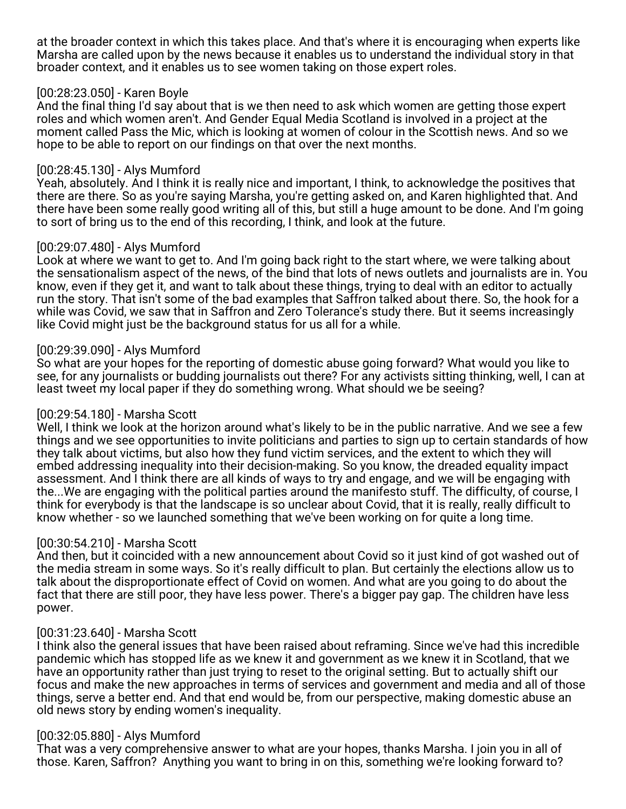at the broader context in which this takes place. And that's where it is encouraging when experts like Marsha are called upon by the news because it enables us to understand the individual story in that broader context, and it enables us to see women taking on those expert roles.

### [00:28:23.050] - Karen Boyle

And the final thing I'd say about that is we then need to ask which women are getting those expert roles and which women aren't. And Gender Equal Media Scotland is involved in a project at the moment called Pass the Mic, which is looking at women of colour in the Scottish news. And so we hope to be able to report on our findings on that over the next months.

### [00:28:45.130] - Alys Mumford

Yeah, absolutely. And I think it is really nice and important, I think, to acknowledge the positives that there are there. So as you're saying Marsha, you're getting asked on, and Karen highlighted that. And there have been some really good writing all of this, but still a huge amount to be done. And I'm going to sort of bring us to the end of this recording, I think, and look at the future.

### [00:29:07.480] - Alys Mumford

Look at where we want to get to. And I'm going back right to the start where, we were talking about the sensationalism aspect of the news, of the bind that lots of news outlets and journalists are in. You know, even if they get it, and want to talk about these things, trying to deal with an editor to actually run the story. That isn't some of the bad examples that Saffron talked about there. So, the hook for a while was Covid, we saw that in Saffron and Zero Tolerance's study there. But it seems increasingly like Covid might just be the background status for us all for a while.

### [00:29:39.090] - Alys Mumford

So what are your hopes for the reporting of domestic abuse going forward? What would you like to see, for any journalists or budding journalists out there? For any activists sitting thinking, well, I can at least tweet my local paper if they do something wrong. What should we be seeing?

## [00:29:54.180] - Marsha Scott

Well, I think we look at the horizon around what's likely to be in the public narrative. And we see a few things and we see opportunities to invite politicians and parties to sign up to certain standards of how they talk about victims, but also how they fund victim services, and the extent to which they will embed addressing inequality into their decision-making. So you know, the dreaded equality impact assessment. And I think there are all kinds of ways to try and engage, and we will be engaging with the...We are engaging with the political parties around the manifesto stuff. The difficulty, of course, I think for everybody is that the landscape is so unclear about Covid, that it is really, really difficult to know whether - so we launched something that we've been working on for quite a long time.

## [00:30:54.210] - Marsha Scott

And then, but it coincided with a new announcement about Covid so it just kind of got washed out of the media stream in some ways. So it's really difficult to plan. But certainly the elections allow us to talk about the disproportionate effect of Covid on women. And what are you going to do about the fact that there are still poor, they have less power. There's a bigger pay gap. The children have less power.

## [00:31:23.640] - Marsha Scott

I think also the general issues that have been raised about reframing. Since we've had this incredible pandemic which has stopped life as we knew it and government as we knew it in Scotland, that we have an opportunity rather than just trying to reset to the original setting. But to actually shift our focus and make the new approaches in terms of services and government and media and all of those things, serve a better end. And that end would be, from our perspective, making domestic abuse an old news story by ending women's inequality.

#### [00:32:05.880] - Alys Mumford

That was a very comprehensive answer to what are your hopes, thanks Marsha. I join you in all of those. Karen, Saffron? Anything you want to bring in on this, something we're looking forward to?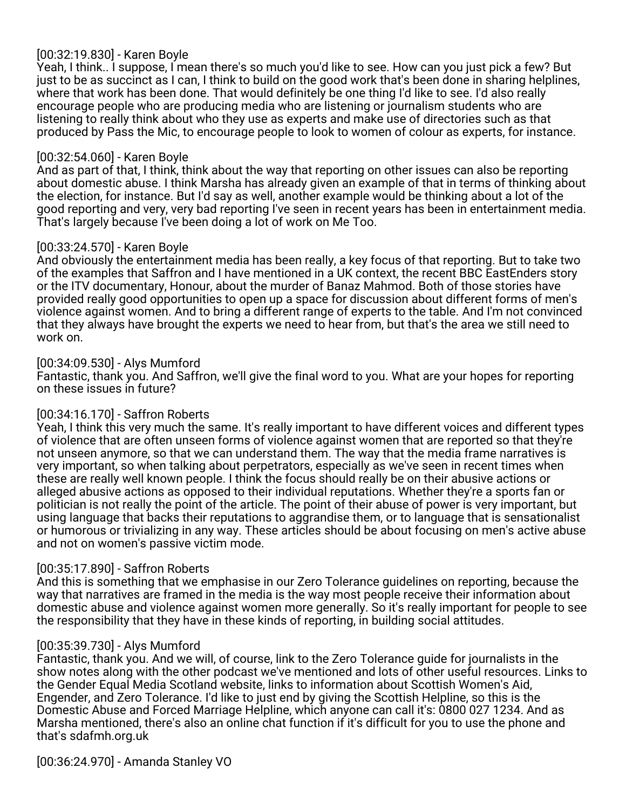# [00:32:19.830] - Karen Boyle

Yeah, I think.. I suppose, I mean there's so much you'd like to see. How can you just pick a few? But just to be as succinct as I can, I think to build on the good work that's been done in sharing helplines, where that work has been done. That would definitely be one thing I'd like to see. I'd also really encourage people who are producing media who are listening or journalism students who are listening to really think about who they use as experts and make use of directories such as that produced by Pass the Mic, to encourage people to look to women of colour as experts, for instance.

### [00:32:54.060] - Karen Boyle

And as part of that, I think, think about the way that reporting on other issues can also be reporting about domestic abuse. I think Marsha has already given an example of that in terms of thinking about the election, for instance. But I'd say as well, another example would be thinking about a lot of the good reporting and very, very bad reporting I've seen in recent years has been in entertainment media. That's largely because I've been doing a lot of work on Me Too.

## [00:33:24.570] - Karen Boyle

And obviously the entertainment media has been really, a key focus of that reporting. But to take two of the examples that Saffron and I have mentioned in a UK context, the recent BBC EastEnders story or the ITV documentary, Honour, about the murder of Banaz Mahmod. Both of those stories have provided really good opportunities to open up a space for discussion about different forms of men's violence against women. And to bring a different range of experts to the table. And I'm not convinced that they always have brought the experts we need to hear from, but that's the area we still need to work on.

### [00:34:09.530] - Alys Mumford

Fantastic, thank you. And Saffron, we'll give the final word to you. What are your hopes for reporting on these issues in future?

## [00:34:16.170] - Saffron Roberts

Yeah, I think this very much the same. It's really important to have different voices and different types of violence that are often unseen forms of violence against women that are reported so that they're not unseen anymore, so that we can understand them. The way that the media frame narratives is very important, so when talking about perpetrators, especially as we've seen in recent times when these are really well known people. I think the focus should really be on their abusive actions or alleged abusive actions as opposed to their individual reputations. Whether they're a sports fan or politician is not really the point of the article. The point of their abuse of power is very important, but using language that backs their reputations to aggrandise them, or to language that is sensationalist or humorous or trivializing in any way. These articles should be about focusing on men's active abuse and not on women's passive victim mode.

## [00:35:17.890] - Saffron Roberts

And this is something that we emphasise in our Zero Tolerance guidelines on reporting, because the way that narratives are framed in the media is the way most people receive their information about domestic abuse and violence against women more generally. So it's really important for people to see the responsibility that they have in these kinds of reporting, in building social attitudes.

#### [00:35:39.730] - Alys Mumford

Fantastic, thank you. And we will, of course, link to the Zero Tolerance guide for journalists in the show notes along with the other podcast we've mentioned and lots of other useful resources. Links to the Gender Equal Media Scotland website, links to information about Scottish Women's Aid, Engender, and Zero Tolerance. I'd like to just end by giving the Scottish Helpline, so this is the Domestic Abuse and Forced Marriage Helpline, which anyone can call it's: 0800 027 1234. And as Marsha mentioned, there's also an online chat function if it's difficult for you to use the phone and that's sdafmh.org.uk